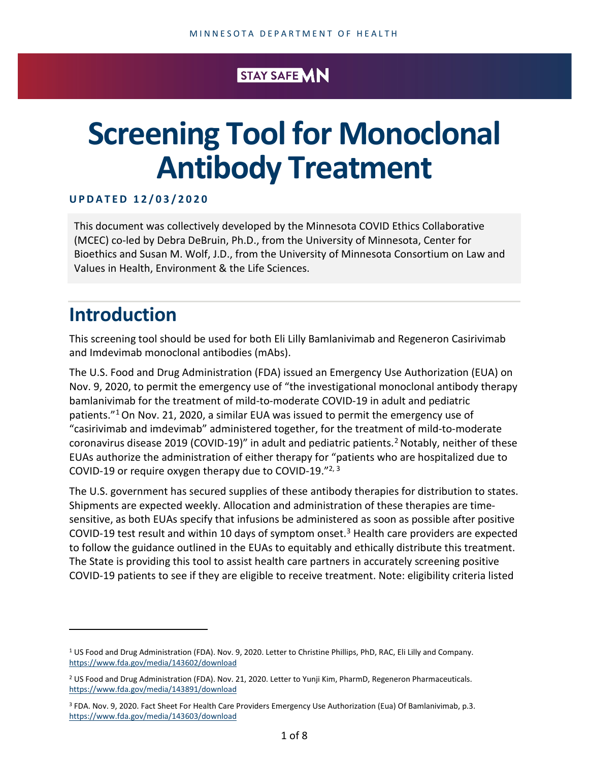## STAY SAFE VIN

# **Screening Tool for Monoclonal Antibody Treatment**

## **UP D A T E D 1 2 / 0 3 / 2 0 20**

This document was collectively developed by the Minnesota COVID Ethics Collaborative (MCEC) co-led by Debra DeBruin, Ph.D., from the University of Minnesota, Center for Bioethics and Susan M. Wolf, J.D., from the University of Minnesota Consortium on Law and Values in Health, Environment & the Life Sciences.

## **Introduction**

This screening tool should be used for both Eli Lilly Bamlanivimab and Regeneron Casirivimab and Imdevimab monoclonal antibodies (mAbs).

The U.S. Food and Drug Administration (FDA) issued an Emergency Use Authorization (EUA) on Nov. 9, 2020, to permit the emergency use of "the investigational monoclonal antibody therapy bamlanivimab for the treatment of mild-to-moderate COVID-19 in adult and pediatric patients."[1](#page-0-0)On Nov. 21, 2020, a similar EUA was issued to permit the emergency use of "casirivimab and imdevimab" administered together, for the treatment of mild-to-moderate coronavirus disease [2](#page-0-1)019 (COVID-19)" in adult and pediatric patients.<sup>2</sup> Notably, neither of these EUAs authorize the administration of either therapy for "patients who are hospitalized due to COVID-19 or require oxygen therapy due to COVID-19."2, 3

The U.S. government has secured supplies of these antibody therapies for distribution to states. Shipments are expected weekly. Allocation and administration of these therapies are timesensitive, as both EUAs specify that infusions be administered as soon as possible after positive COVID-19 test result and within 10 days of symptom onset.<sup>[3](#page-0-2)</sup> Health care providers are expected to follow the guidance outlined in the EUAs to equitably and ethically distribute this treatment. The State is providing this tool to assist health care partners in accurately screening positive COVID-19 patients to see if they are eligible to receive treatment. Note: eligibility criteria listed

<span id="page-0-0"></span><sup>1</sup> US Food and Drug Administration (FDA). Nov. 9, 2020. Letter to Christine Phillips, PhD, RAC, Eli Lilly and Company. <https://www.fda.gov/media/143602/download>

<span id="page-0-1"></span><sup>2</sup> US Food and Drug Administration (FDA). Nov. 21, 2020. Letter to Yunji Kim, PharmD, Regeneron Pharmaceuticals. <https://www.fda.gov/media/143891/download>

<span id="page-0-2"></span><sup>3</sup> FDA. Nov. 9, 2020. Fact Sheet For Health Care Providers Emergency Use Authorization (Eua) Of Bamlanivimab, p.3. <https://www.fda.gov/media/143603/download>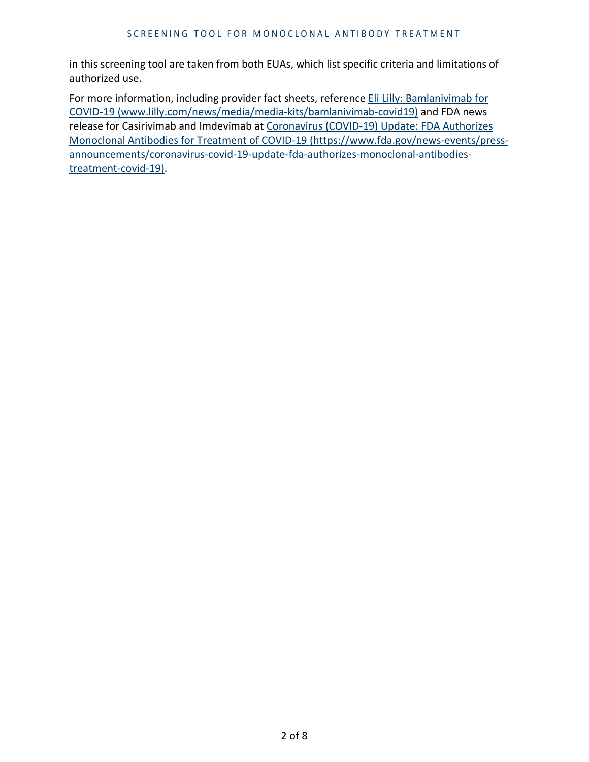in this screening tool are taken from both EUAs, which list specific criteria and limitations of authorized use.

For more information, including provider fact sheets, reference Eli Lilly: Bamlanivimab for [COVID-19 \(www.lilly.com/news/media/media-kits/bamlanivimab-covid19\)](https://www.lilly.com/news/media/media-kits/bamlanivimab-covid19) and FDA news release for Casirivimab and Imdevimab at [Coronavirus \(COVID-19\) Update: FDA Authorizes](https://www.fda.gov/news-events/press-announcements/coronavirus-covid-19-update-fda-authorizes-monoclonal-antibodies-treatment-covid-19)  [Monoclonal Antibodies for Treatment of COVID-19 \(https://www.fda.gov/news-events/press](https://www.fda.gov/news-events/press-announcements/coronavirus-covid-19-update-fda-authorizes-monoclonal-antibodies-treatment-covid-19)[announcements/coronavirus-covid-19-update-fda-authorizes-monoclonal-antibodies](https://www.fda.gov/news-events/press-announcements/coronavirus-covid-19-update-fda-authorizes-monoclonal-antibodies-treatment-covid-19)[treatment-covid-19\).](https://www.fda.gov/news-events/press-announcements/coronavirus-covid-19-update-fda-authorizes-monoclonal-antibodies-treatment-covid-19)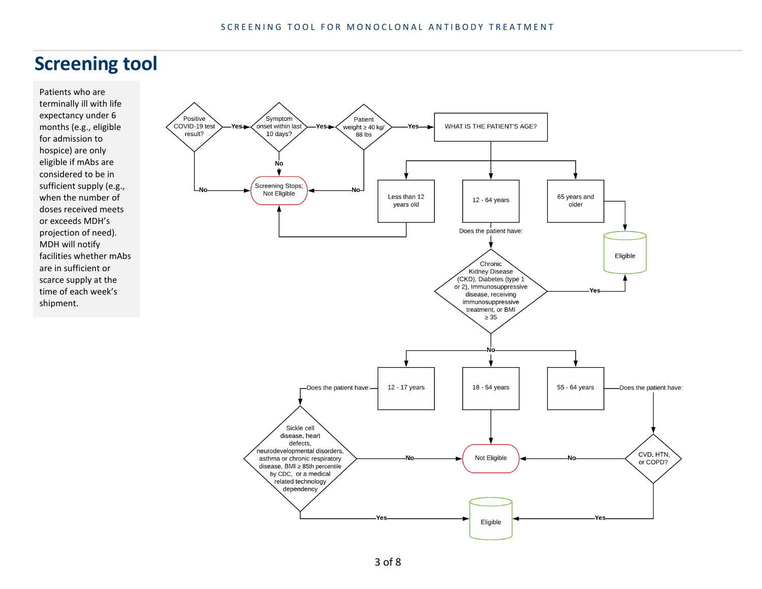# **Screening tool**

Patients who are terminally ill with life expectancy under 6 months (e.g., eligible for admission to hospice) are only eligible if mAbs are considered to be in sufficient supply (e.g., when the number of doses received meets or exceeds MDH's projection of need). MDH will notify facilities whether mAbs are in sufficient or scarce supply at the time of each week's shipment.

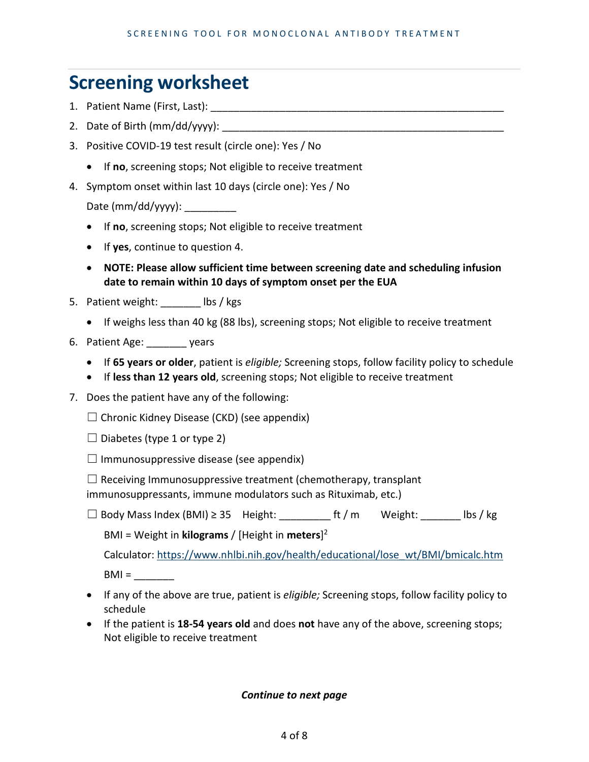# **Screening worksheet**

- 1. Patient Name (First, Last): **Example 2.1**
- 2. Date of Birth (mm/dd/yyyy):
- 3. Positive COVID-19 test result (circle one): Yes / No
	- If **no**, screening stops; Not eligible to receive treatment
- 4. Symptom onset within last 10 days (circle one): Yes / No

Date (mm/dd/yyyy):

- If **no**, screening stops; Not eligible to receive treatment
- If **yes**, continue to question 4.
- **NOTE: Please allow sufficient time between screening date and scheduling infusion date to remain within 10 days of symptom onset per the EUA**
- 5. Patient weight: lbs / kgs
	- If weighs less than 40 kg (88 lbs), screening stops; Not eligible to receive treatment
- 6. Patient Age: \_\_\_\_\_\_\_ years
	- If **65 years or older**, patient is *eligible;* Screening stops, follow facility policy to schedule
	- If **less than 12 years old**, screening stops; Not eligible to receive treatment
- 7. Does the patient have any of the following:

 $\Box$  Chronic Kidney Disease (CKD) (see appendix)

 $\Box$  Diabetes (type 1 or type 2)

 $\Box$  Immunosuppressive disease (see appendix)

 $\Box$  Receiving Immunosuppressive treatment (chemotherapy, transplant

immunosuppressants, immune modulators such as Rituximab, etc.)

 $\Box$  Body Mass Index (BMI) ≥ 35 Height:  $\Box$  ft / m Weight:  $\Box$  lbs / kg

BMI = Weight in **kilograms** / [Height in **meters**] 2

Calculator: [https://www.nhlbi.nih.gov/health/educational/lose\\_wt/BMI/bmicalc.htm](https://www.nhlbi.nih.gov/health/educational/lose_wt/BMI/bmicalc.htm)  $BMI =$ 

- If any of the above are true, patient is *eligible;* Screening stops, follow facility policy to schedule
- If the patient is **18-54 years old** and does **not** have any of the above, screening stops; Not eligible to receive treatment

*Continue to next page*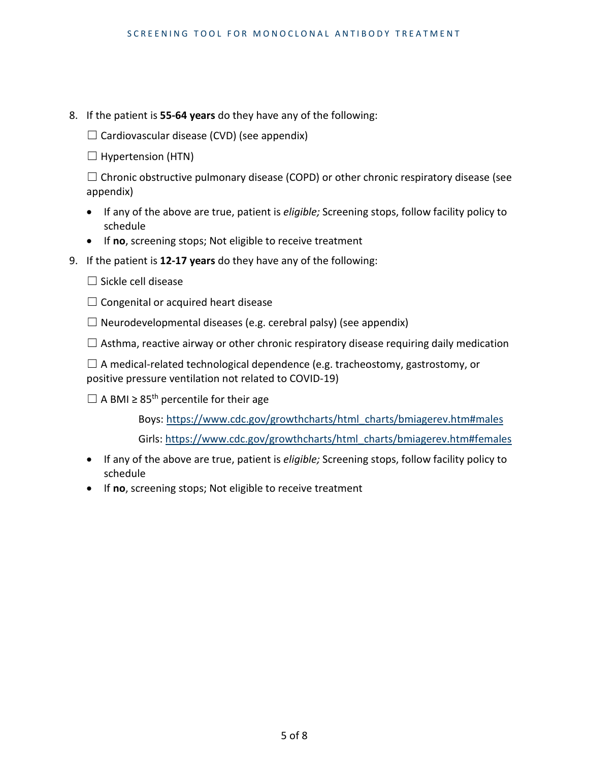8. If the patient is **55-64 years** do they have any of the following:

 $\Box$  Cardiovascular disease (CVD) (see appendix)

 $\Box$  Hypertension (HTN)

 $\Box$  Chronic obstructive pulmonary disease (COPD) or other chronic respiratory disease (see appendix)

- If any of the above are true, patient is *eligible;* Screening stops, follow facility policy to schedule
- If **no**, screening stops; Not eligible to receive treatment
- 9. If the patient is **12-17 years** do they have any of the following:
	- $\Box$  Sickle cell disease
	- $\Box$  Congenital or acquired heart disease

 $\Box$  Neurodevelopmental diseases (e.g. cerebral palsy) (see appendix)

 $\Box$  Asthma, reactive airway or other chronic respiratory disease requiring daily medication

 $\Box$  A medical-related technological dependence (e.g. tracheostomy, gastrostomy, or positive pressure ventilation not related to COVID-19)

 $\Box$  A BMI  $\geq 85^{\text{th}}$  percentile for their age

Boys: [https://www.cdc.gov/growthcharts/html\\_charts/bmiagerev.htm#males](https://www.cdc.gov/growthcharts/html_charts/bmiagerev.htm#males)

Girls: [https://www.cdc.gov/growthcharts/html\\_charts/bmiagerev.htm#females](https://www.cdc.gov/growthcharts/html_charts/bmiagerev.htm#females)

- If any of the above are true, patient is *eligible;* Screening stops, follow facility policy to schedule
- If **no**, screening stops; Not eligible to receive treatment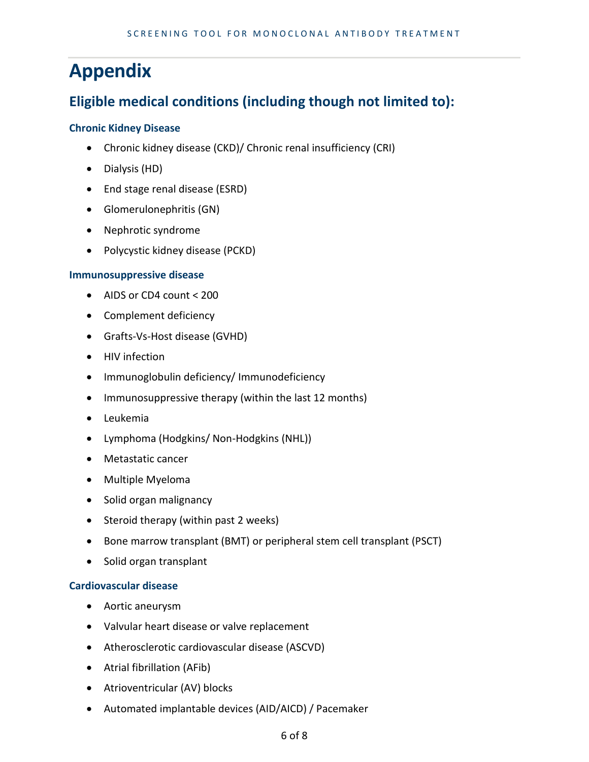# **Appendix**

## **Eligible medical conditions (including though not limited to):**

## **Chronic Kidney Disease**

- Chronic kidney disease (CKD)/ Chronic renal insufficiency (CRI)
- Dialysis (HD)
- End stage renal disease (ESRD)
- Glomerulonephritis (GN)
- Nephrotic syndrome
- Polycystic kidney disease (PCKD)

## **Immunosuppressive disease**

- AIDS or CD4 count < 200
- Complement deficiency
- Grafts-Vs-Host disease (GVHD)
- HIV infection
- Immunoglobulin deficiency/ Immunodeficiency
- Immunosuppressive therapy (within the last 12 months)
- Leukemia
- Lymphoma (Hodgkins/ Non-Hodgkins (NHL))
- Metastatic cancer
- Multiple Myeloma
- Solid organ malignancy
- Steroid therapy (within past 2 weeks)
- Bone marrow transplant (BMT) or peripheral stem cell transplant (PSCT)
- Solid organ transplant

## **Cardiovascular disease**

- Aortic aneurysm
- Valvular heart disease or valve replacement
- Atherosclerotic cardiovascular disease (ASCVD)
- Atrial fibrillation (AFib)
- Atrioventricular (AV) blocks
- Automated implantable devices (AID/AICD) / Pacemaker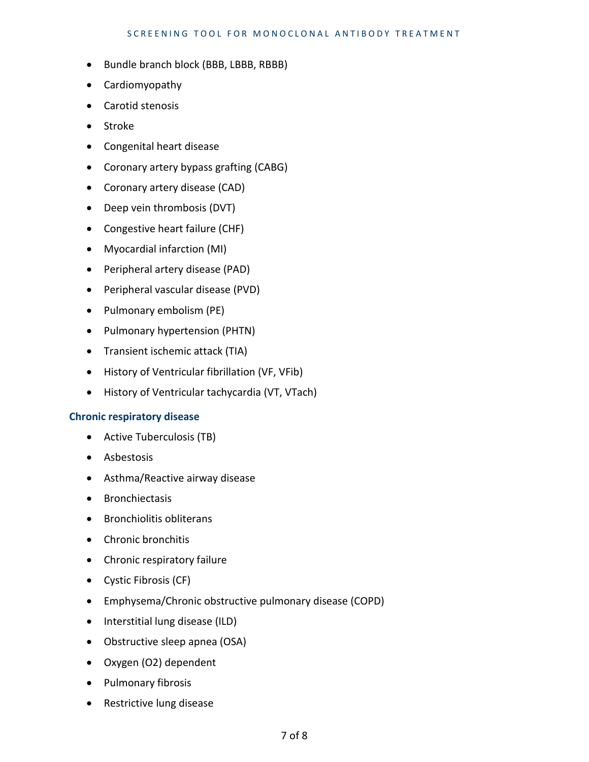#### SCREENING TOOL FOR MONOCLONAL ANTIBODY TREATMENT

- Bundle branch block (BBB, LBBB, RBBB)
- Cardiomyopathy
- Carotid stenosis
- Stroke
- Congenital heart disease
- Coronary artery bypass grafting (CABG)
- Coronary artery disease (CAD)
- Deep vein thrombosis (DVT)
- Congestive heart failure (CHF)
- Myocardial infarction (MI)
- Peripheral artery disease (PAD)
- Peripheral vascular disease (PVD)
- Pulmonary embolism (PE)
- Pulmonary hypertension (PHTN)
- Transient ischemic attack (TIA)
- History of Ventricular fibrillation (VF, VFib)
- History of Ventricular tachycardia (VT, VTach)

#### **Chronic respiratory disease**

- Active Tuberculosis (TB)
- Asbestosis
- Asthma/Reactive airway disease
- Bronchiectasis
- Bronchiolitis obliterans
- Chronic bronchitis
- Chronic respiratory failure
- Cystic Fibrosis (CF)
- Emphysema/Chronic obstructive pulmonary disease (COPD)
- Interstitial lung disease (ILD)
- Obstructive sleep apnea (OSA)
- Oxygen (O2) dependent
- Pulmonary fibrosis
- Restrictive lung disease